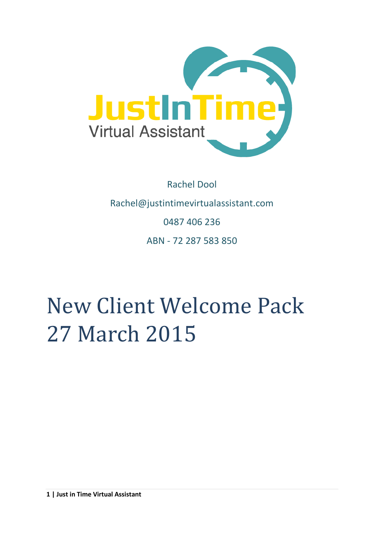

## Rachel Dool Rachel@justintimevirtualassistant.com 0487 406 236 ABN - 72 287 583 850

# New Client Welcome Pack 27 March 2015

**1 | Just in Time Virtual Assistant**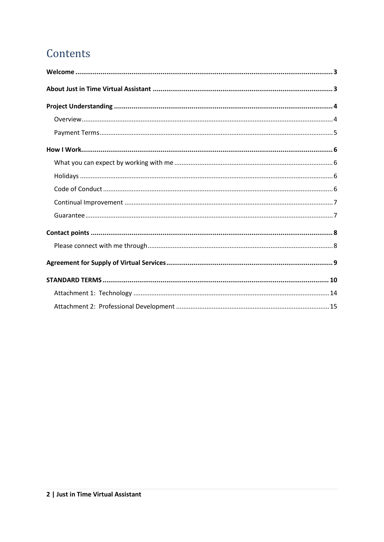## Contents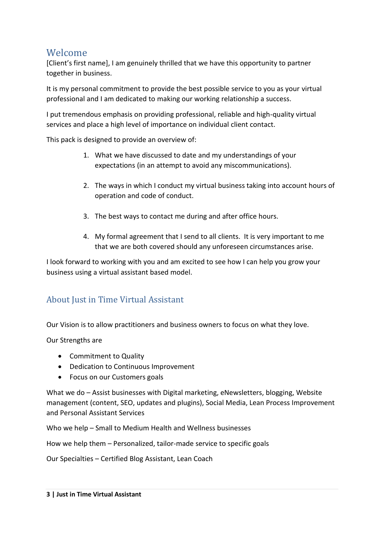## <span id="page-2-0"></span>Welcome

[Client's first name], I am genuinely thrilled that we have this opportunity to partner together in business.

It is my personal commitment to provide the best possible service to you as your virtual professional and I am dedicated to making our working relationship a success.

I put tremendous emphasis on providing professional, reliable and high-quality virtual services and place a high level of importance on individual client contact.

This pack is designed to provide an overview of:

- 1. What we have discussed to date and my understandings of your expectations (in an attempt to avoid any miscommunications).
- 2. The ways in which I conduct my virtual business taking into account hours of operation and code of conduct.
- 3. The best ways to contact me during and after office hours.
- 4. My formal agreement that I send to all clients. It is very important to me that we are both covered should any unforeseen circumstances arise.

I look forward to working with you and am excited to see how I can help you grow your business using a virtual assistant based model.

#### <span id="page-2-1"></span>About Just in Time Virtual Assistant

Our Vision is to allow practitioners and business owners to focus on what they love.

Our Strengths are

- Commitment to Quality
- Dedication to Continuous Improvement
- Focus on our Customers goals

What we do – Assist businesses with Digital marketing, eNewsletters, blogging, Website management (content, SEO, updates and plugins), Social Media, Lean Process Improvement and Personal Assistant Services

Who we help – Small to Medium Health and Wellness businesses

How we help them – Personalized, tailor-made service to specific goals

Our Specialties – Certified Blog Assistant, Lean Coach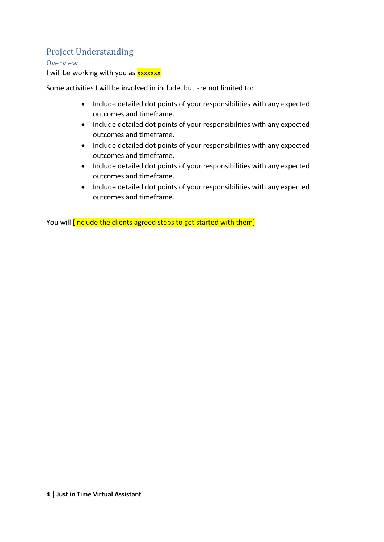## <span id="page-3-0"></span>Project Understanding

<span id="page-3-1"></span>**Overview** 

I will be working with you as **xxxxxx** 

Some activities I will be involved in include, but are not limited to:

- Include detailed dot points of your responsibilities with any expected outcomes and timeframe.
- Include detailed dot points of your responsibilities with any expected outcomes and timeframe.
- Include detailed dot points of your responsibilities with any expected outcomes and timeframe.
- Include detailed dot points of your responsibilities with any expected outcomes and timeframe.
- Include detailed dot points of your responsibilities with any expected outcomes and timeframe.

You will *[include the clients agreed steps to get started with them]*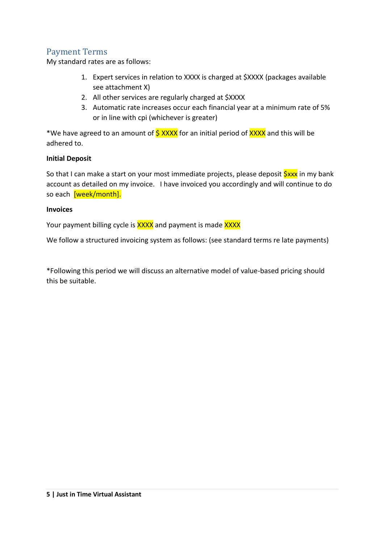#### <span id="page-4-0"></span>Payment Terms

My standard rates are as follows:

- 1. Expert services in relation to XXXX is charged at \$XXXX (packages available see attachment X)
- 2. All other services are regularly charged at \$XXXX
- 3. Automatic rate increases occur each financial year at a minimum rate of 5% or in line with cpi (whichever is greater)

\*We have agreed to an amount of  $\frac{5 \text{ XXX}}{x}$  for an initial period of XXXX and this will be adhered to.

#### **Initial Deposit**

So that I can make a start on your most immediate projects, please deposit  $S_{\text{XXX}}$  in my bank account as detailed on my invoice. I have invoiced you accordingly and will continue to do so each [week/month].

#### **Invoices**

Your payment billing cycle is **XXXX** and payment is made **XXXX** 

We follow a structured invoicing system as follows: (see standard terms re late payments)

\*Following this period we will discuss an alternative model of value-based pricing should this be suitable.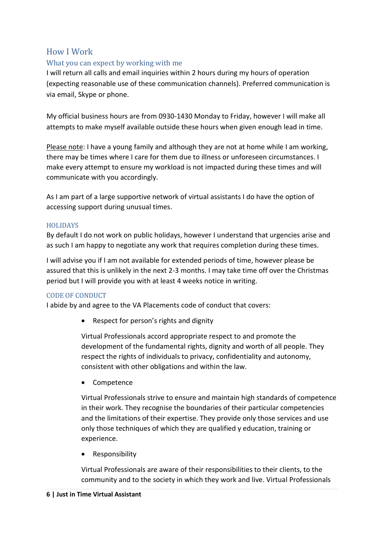#### <span id="page-5-0"></span>How I Work

#### <span id="page-5-1"></span>What you can expect by working with me

I will return all calls and email inquiries within 2 hours during my hours of operation (expecting reasonable use of these communication channels). Preferred communication is via email, Skype or phone.

My official business hours are from 0930-1430 Monday to Friday, however I will make all attempts to make myself available outside these hours when given enough lead in time.

Please note: I have a young family and although they are not at home while I am working, there may be times where I care for them due to illness or unforeseen circumstances. I make every attempt to ensure my workload is not impacted during these times and will communicate with you accordingly.

As I am part of a large supportive network of virtual assistants I do have the option of accessing support during unusual times.

#### <span id="page-5-2"></span>HOLIDAYS

By default I do not work on public holidays, however I understand that urgencies arise and as such I am happy to negotiate any work that requires completion during these times.

I will advise you if I am not available for extended periods of time, however please be assured that this is unlikely in the next 2-3 months. I may take time off over the Christmas period but I will provide you with at least 4 weeks notice in writing.

#### <span id="page-5-3"></span>CODE OF CONDUCT

I abide by and agree to the VA Placements code of conduct that covers:

• Respect for person's rights and dignity

Virtual Professionals accord appropriate respect to and promote the development of the fundamental rights, dignity and worth of all people. They respect the rights of individuals to privacy, confidentiality and autonomy, consistent with other obligations and within the law.

• Competence

Virtual Professionals strive to ensure and maintain high standards of competence in their work. They recognise the boundaries of their particular competencies and the limitations of their expertise. They provide only those services and use only those techniques of which they are qualified y education, training or experience.

Responsibility

Virtual Professionals are aware of their responsibilities to their clients, to the community and to the society in which they work and live. Virtual Professionals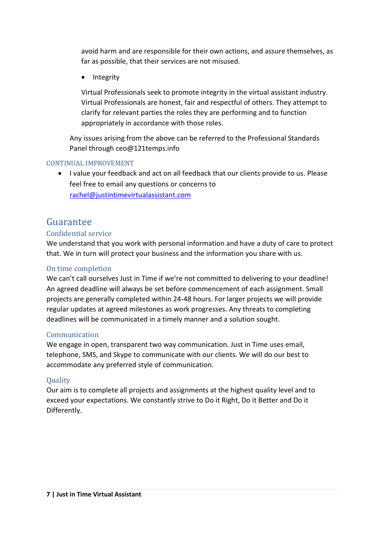avoid harm and are responsible for their own actions, and assure themselves, as far as possible, that their services are not misused.

• Integrity

<span id="page-6-1"></span>Virtual Professionals seek to promote integrity in the virtual assistant industry. Virtual Professionals are honest, fair and respectful of others. They attempt to clarify for relevant parties the roles they are performing and to function appropriately in accordance with those roles.

Any issues arising from the above can be referred to the Professional Standards Panel through ceo@121temps.info

#### <span id="page-6-0"></span>CONTINUAL IMPROVEMENT

 I value your feedback and act on all feedback that our clients provide to us. Please feel free to email any questions or concerns to [rachel@justintimevirtualassistant.com](mailto:rachel@justintimevirtualassistant.com)

## Guarantee

#### Confidential service

We understand that you work with personal information and have a duty of care to protect that. We in turn will protect your business and the information you share with us.

#### On time completion

We can't call ourselves Just in Time if we're not committed to delivering to your deadline! An agreed deadline will always be set before commencement of each assignment. Small projects are generally completed within 24-48 hours. For larger projects we will provide regular updates at agreed milestones as work progresses. Any threats to completing deadlines will be communicated in a timely manner and a solution sought.

#### Communication

We engage in open, transparent two way communication. Just in Time uses email, telephone, SMS, and Skype to communicate with our clients. We will do our best to accommodate any preferred style of communication.

#### **Ouality**

Our aim is to complete all projects and assignments at the highest quality level and to exceed your expectations. We constantly strive to Do it Right, Do it Better and Do it Differently.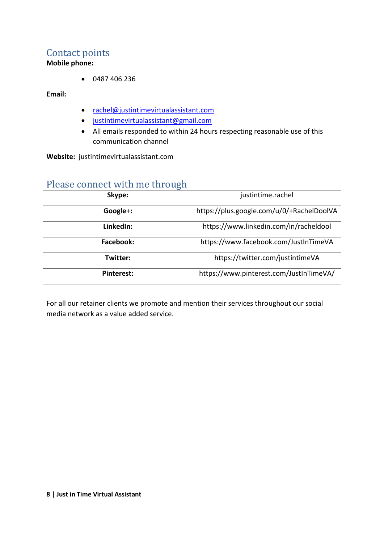## <span id="page-7-0"></span>Contact points

**Mobile phone:**

0487 406 236

**Email:** 

- [rachel@justintimevirtualassistant.com](mailto:rachel@justintimevirtualassistant.com)
- [justintimevirtualassistant@gmail.com](mailto:justintimevirtualassistant@gmail.com)
- All emails responded to within 24 hours respecting reasonable use of this communication channel

**Website:** justintimevirtualassistant.com

### <span id="page-7-1"></span>Please connect with me through

| Skype:     | justintime.rachel                         |  |
|------------|-------------------------------------------|--|
| Google+:   | https://plus.google.com/u/0/+RachelDoolVA |  |
| LinkedIn:  | https://www.linkedin.com/in/racheldool    |  |
| Facebook:  | https://www.facebook.com/JustInTimeVA     |  |
| Twitter:   | https://twitter.com/justintimeVA          |  |
| Pinterest: | https://www.pinterest.com/JustInTimeVA/   |  |

For all our retainer clients we promote and mention their services throughout our social media network as a value added service.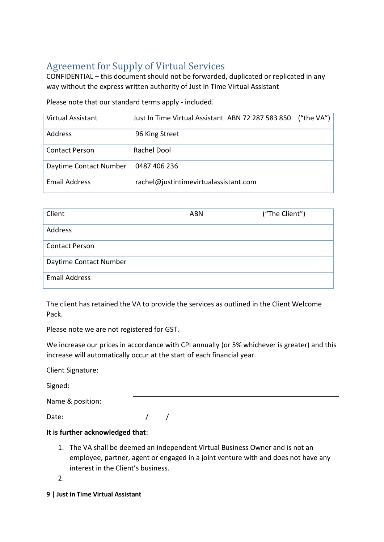## <span id="page-8-0"></span>Agreement for Supply of Virtual Services

CONFIDENTIAL – this document should not be forwarded, duplicated or replicated in any way without the express written authority of Just in Time Virtual Assistant

Please note that our standard terms apply - included.

| Virtual Assistant      | Just In Time Virtual Assistant ABN 72 287 583 850 | ("the $VA"$ ) |
|------------------------|---------------------------------------------------|---------------|
| Address                | 96 King Street                                    |               |
| <b>Contact Person</b>  | Rachel Dool                                       |               |
| Daytime Contact Number | 0487 406 236                                      |               |
| <b>Email Address</b>   | rachel@justintimevirtualassistant.com             |               |

| Client                 | <b>ABN</b> | ("The Client") |
|------------------------|------------|----------------|
| Address                |            |                |
| <b>Contact Person</b>  |            |                |
| Daytime Contact Number |            |                |
| <b>Email Address</b>   |            |                |

The client has retained the VA to provide the services as outlined in the Client Welcome Pack.

Please note we are not registered for GST.

We increase our prices in accordance with CPI annually (or 5% whichever is greater) and this increase will automatically occur at the start of each financial year.

Client Signature:

Signed:

|  | Name & position: |
|--|------------------|
|--|------------------|

Date:  $\sqrt{1 + (1 - \epsilon)^2}$ 

#### **It is further acknowledged that**:

1. The VA shall be deemed an independent Virtual Business Owner and is not an employee, partner, agent or engaged in a joint venture with and does not have any interest in the Client's business.

2.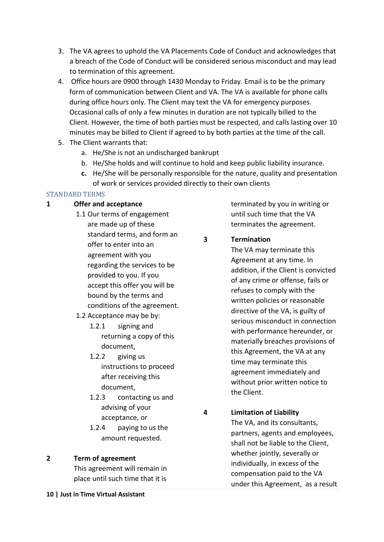- 3. The VA agrees to uphold the VA Placements Code of Conduct and acknowledges that a breach of the Code of Conduct will be considered serious misconduct and may lead to termination of this agreement.
- 4. Office hours are 0900 through 1430 Monday to Friday. Email is to be the primary form of communication between Client and VA. The VA is available for phone calls during office hours only. The Client may text the VA for emergency purposes. Occasional calls of only a few minutes in duration are not typically billed to the Client. However, the time of both parties must be respected, and calls lasting over 10 minutes may be billed to Client if agreed to by both parties at the time of the call.
- 5. The Client warrants that:
	- a. He/She is not an undischarged bankrupt
	- b. He/She holds and will continue to hold and keep public liability insurance.
	- **c.** He/She will be personally responsible for the nature, quality and presentation of work or services provided directly to their own clients

#### <span id="page-9-0"></span>STANDARD TERMS

#### **1 Offer and acceptance**

- 1.1 Our terms of engagement are made up of these standard terms, and form an offer to enter into an agreement with you regarding the services to be provided to you. If you accept this offer you will be bound by the terms and conditions of the agreement.
- 1.2 Acceptance may be by:
	- 1.2.1 signing and returning a copy of this document,
	- 1.2.2 giving us instructions to proceed after receiving this document,
	- 1.2.3 contacting us and advising of your acceptance, or
	- 1.2.4 paying to us the amount requested.

#### **2 Term of agreement**

This agreement will remain in place until such time that it is terminated by you in writing or until such time that the VA terminates the agreement.

#### **3 Termination**

The VA may terminate this Agreement at any time. In addition, if the Client is convicted of any crime or offense, fails or refuses to comply with the written policies or reasonable directive of the VA, is guilty of serious misconduct in connection with performance hereunder, or materially breaches provisions of this Agreement, the VA at any time may terminate this agreement immediately and without prior written notice to the Client.

**4 Limitation of Liability** The VA, and its consultants, partners, agents and employees, shall not be liable to the Client, whether jointly, severally or individually, in excess of the compensation paid to the VA under this Agreement, as a result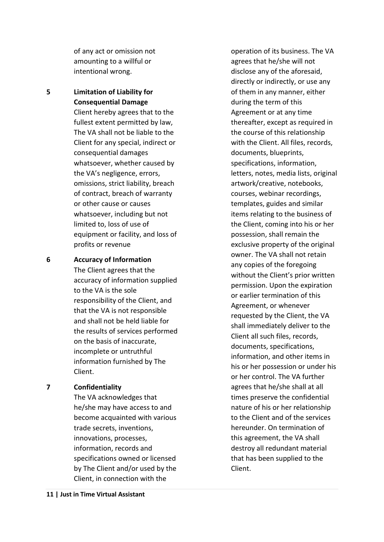of any act or omission not amounting to a willful or intentional wrong.

#### **5 Limitation of Liability for Consequential Damage**

Client hereby agrees that to the fullest extent permitted by law, The VA shall not be liable to the Client for any special, indirect or consequential damages whatsoever, whether caused by the VA's negligence, errors, omissions, strict liability, breach of contract, breach of warranty or other cause or causes whatsoever, including but not limited to, loss of use of equipment or facility, and loss of profits or revenue

#### **6 Accuracy of Information**

The Client agrees that the accuracy of information supplied to the VA is the sole responsibility of the Client, and that the VA is not responsible and shall not be held liable for the results of services performed on the basis of inaccurate, incomplete or untruthful information furnished by The Client.

#### **7 Confidentiality**

The VA acknowledges that he/she may have access to and become acquainted with various trade secrets, inventions, innovations, processes, information, records and specifications owned or licensed by The Client and/or used by the Client, in connection with the

operation of its business. The VA agrees that he/she will not disclose any of the aforesaid, directly or indirectly, or use any of them in any manner, either during the term of this Agreement or at any time thereafter, except as required in the course of this relationship with the Client. All files, records, documents, blueprints, specifications, information, letters, notes, media lists, original artwork/creative, notebooks, courses, webinar recordings, templates, guides and similar items relating to the business of the Client, coming into his or her possession, shall remain the exclusive property of the original owner. The VA shall not retain any copies of the foregoing without the Client's prior written permission. Upon the expiration or earlier termination of this Agreement, or whenever requested by the Client, the VA shall immediately deliver to the Client all such files, records, documents, specifications, information, and other items in his or her possession or under his or her control. The VA further agrees that he/she shall at all times preserve the confidential nature of his or her relationship to the Client and of the services hereunder. On termination of this agreement, the VA shall destroy all redundant material that has been supplied to the Client.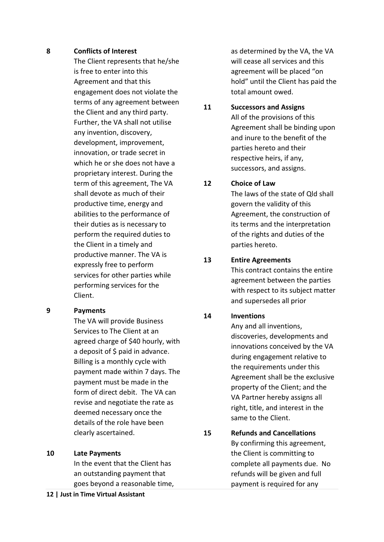#### **8 Conflicts of Interest**

The Client represents that he/she is free to enter into this Agreement and that this engagement does not violate the terms of any agreement between the Client and any third party. Further, the VA shall not utilise any invention, discovery, development, improvement, innovation, or trade secret in which he or she does not have a proprietary interest. During the term of this agreement, The VA shall devote as much of their productive time, energy and abilities to the performance of their duties as is necessary to perform the required duties to the Client in a timely and productive manner. The VA is expressly free to perform services for other parties while performing services for the Client.

#### **9 Payments**

The VA will provide Business Services to The Client at an agreed charge of \$40 hourly, with a deposit of \$ paid in advance. Billing is a monthly cycle with payment made within 7 days. The payment must be made in the form of direct debit. The VA can revise and negotiate the rate as deemed necessary once the details of the role have been clearly ascertained.

**10 Late Payments**

In the event that the Client has an outstanding payment that goes beyond a reasonable time,

as determined by the VA, the VA will cease all services and this agreement will be placed "on hold" until the Client has paid the total amount owed.

#### **11 Successors and Assigns** All of the provisions of this Agreement shall be binding upon and inure to the benefit of the parties hereto and their respective heirs, if any, successors, and assigns.

#### **12 Choice of Law**

The laws of the state of Qld shall govern the validity of this Agreement, the construction of its terms and the interpretation of the rights and duties of the parties hereto.

#### **13 Entire Agreements**

This contract contains the entire agreement between the parties with respect to its subject matter and supersedes all prior

#### **14 Inventions**

Any and all inventions, discoveries, developments and innovations conceived by the VA during engagement relative to the requirements under this Agreement shall be the exclusive property of the Client; and the VA Partner hereby assigns all right, title, and interest in the same to the Client.

**15 Refunds and Cancellations** By confirming this agreement, the Client is committing to complete all payments due. No refunds will be given and full payment is required for any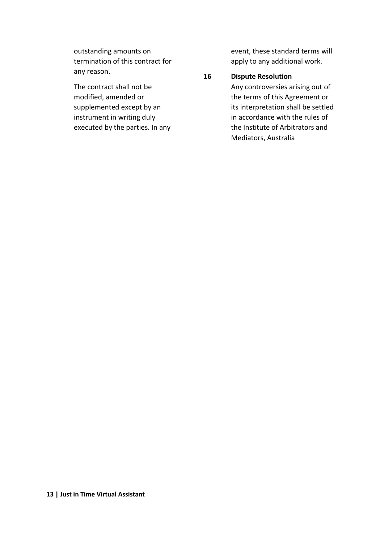outstanding amounts on termination of this contract for any reason.

The contract shall not be modified, amended or supplemented except by an instrument in writing duly executed by the parties. In any event, these standard terms will apply to any additional work.

#### **16 Dispute Resolution**

Any controversies arising out of the terms of this Agreement or its interpretation shall be settled in accordance with the rules of the Institute of Arbitrators and Mediators, Australia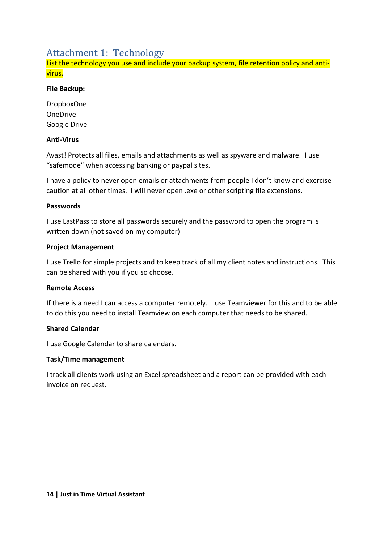## <span id="page-13-0"></span>Attachment 1: Technology

List the technology you use and include your backup system, file retention policy and antivirus.

#### **File Backup:**

DropboxOne OneDrive Google Drive

#### **Anti-Virus**

Avast! Protects all files, emails and attachments as well as spyware and malware. I use "safemode" when accessing banking or paypal sites.

I have a policy to never open emails or attachments from people I don't know and exercise caution at all other times. I will never open .exe or other scripting file extensions.

#### **Passwords**

I use LastPass to store all passwords securely and the password to open the program is written down (not saved on my computer)

#### **Project Management**

I use Trello for simple projects and to keep track of all my client notes and instructions. This can be shared with you if you so choose.

#### **Remote Access**

If there is a need I can access a computer remotely. I use Teamviewer for this and to be able to do this you need to install Teamview on each computer that needs to be shared.

#### **Shared Calendar**

I use Google Calendar to share calendars.

#### **Task/Time management**

I track all clients work using an Excel spreadsheet and a report can be provided with each invoice on request.